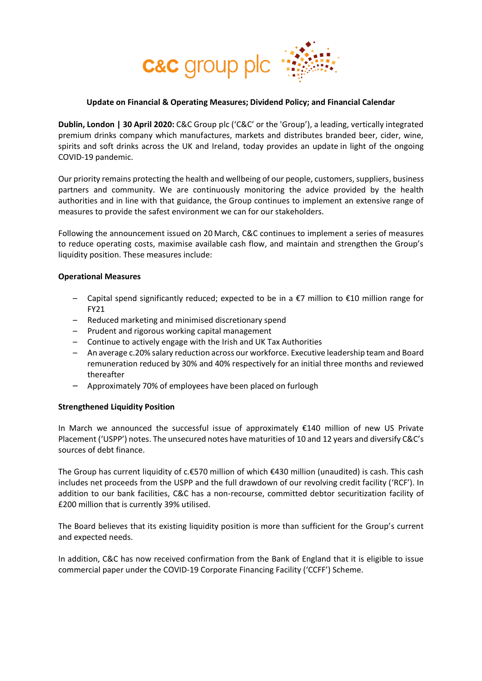

### <span id="page-0-0"></span>**Update on Financial & Operating Measures; Dividend Policy; and Financial Calendar**

**Dublin, London | 30 April 2020:** C&C Group plc ('C&C' or the 'Group'), a leading, vertically integrated premium drinks company which manufactures, markets and distributes branded beer, cider, wine, spirits and soft drinks across the UK and Ireland, today provides an update in light of the ongoing COVID-19 pandemic.

Our priority remains protecting the health and wellbeing of our people, customers, suppliers, business partners and community. We are continuously monitoring the advice provided by the health authorities and in line with that guidance, the Group continues to implement an extensive range of measures to provide the safest environment we can for our stakeholders.

Following the announcement issued on 20 March, C&C continues to implement a series of measures to reduce operating costs, maximise available cash flow, and maintain and strengthen the Group's liquidity position. These measures include:

#### **Operational Measures**

- Capital spend significantly reduced; expected to be in a €7 million to €10 million range for FY21
- Reduced marketing and minimised discretionary spend
- Prudent and rigorous working capital management
- Continue to actively engage with the Irish and UK Tax Authorities
- An average c.20% salary reduction across our workforce. Executive leadership team and Board remuneration reduced by 30% and 40% respectively for an initial three months and reviewed thereafter
- Approximately 70% of employees have been placed on furlough

### **Strengthened Liquidity Position**

In March we announced the successful issue of approximately €140 million of new US Private Placement ('USPP') notes. The unsecured notes have maturities of 10 and 12 years and diversify C&C's sources of debt finance.

The Group has current liquidity of c.€570 million of which €430 million (unaudited) is cash. This cash includes net proceeds from the USPP and the full drawdown of our revolving credit facility ('RCF'). In addition to our bank facilities, C&C has a non-recourse, committed debtor securitization facility of £200 million that is currently 39% utilised.

The Board believes that its existing liquidity position is more than sufficient for the Group's current and expected needs.

In addition, C&C has now received confirmation from the Bank of England that it is eligible to issue commercial paper under the COVID-19 Corporate Financing Facility ('CCFF') Scheme.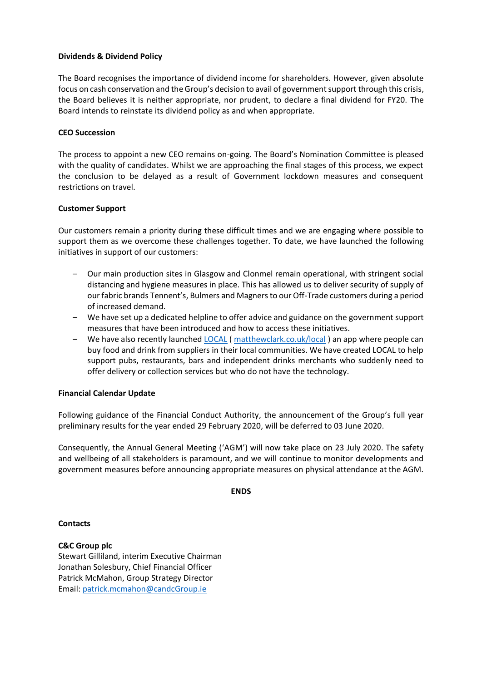### **Dividends & Dividend Policy**

The Board recognises the importance of dividend income for shareholders. However, given absolute focus on cash conservation and the Group's decision to avail of government support through this crisis, the Board believes it is neither appropriate, nor prudent, to declare a final dividend for FY20. The Board intends to reinstate its dividend policy as and when appropriate.

# **CEO Succession**

The process to appoint a new CEO remains on-going. The Board's Nomination Committee is pleased with the quality of candidates. Whilst we are approaching the final stages of this process, we expect the conclusion to be delayed as a result of Government lockdown measures and consequent restrictions on travel.

# **Customer Support**

Our customers remain a priority during these difficult times and we are engaging where possible to support them as we overcome these challenges together. To date, we have launched the following initiatives in support of our customers:

- Our main production sites in Glasgow and Clonmel remain operational, with stringent social distancing and hygiene measures in place. This has allowed us to deliver security of supply of our fabric brands Tennent's, Bulmers and Magners to our Off-Trade customers during a period of increased demand.
- We have set up a dedicated helpline to offer advice and guidance on the government support measures that have been introduced and how to access these initiatives.
- We have also recently launched  $LOCAL$  (matthewclark.co.uk/local) an app where people can</u> buy food and drink from suppliers in their local communities. We have created LOCAL to help support pubs, restaurants, bars and independent drinks merchants who suddenly need to offer delivery or collection services but who do not have the technology.

### **Financial Calendar Update**

Following guidance of the Financial Conduct Authority, the announcement of the Group's full year preliminary results for the year ended 29 February 2020, will be deferred to 03 June 2020.

Consequently, the Annual General Meeting ('AGM') will now take place on 23 July 2020. The safety and wellbeing of all stakeholders is paramount, and we will continue to monitor developments and government measures before announcing appropriate measures on physical attendance at the AGM.

**ENDS**

**Contacts**

**C&C Group plc** Stewart Gilliland, interim Executive Chairman Jonathan Solesbury, Chief Financial Officer Patrick McMahon, Group Strategy Director Email: [patrick.mcmahon@candcGroup.ie](mailto:patrick.mcmahon@candcgroup.ie)